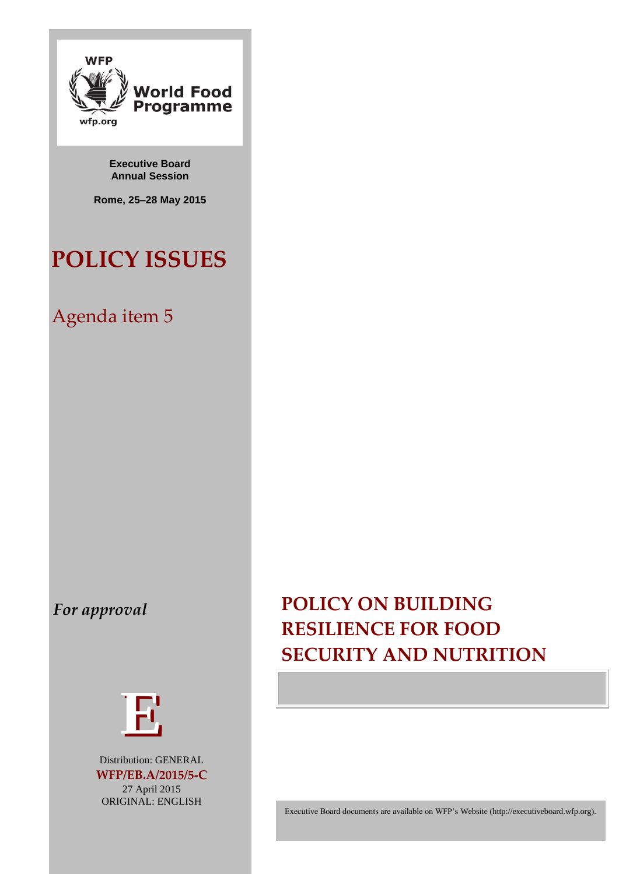

**Executive Board Annual Session**

**Rome, 25–28 May 2015**

# **POLICY ISSUES**

# Agenda item 5

## *For approval*



Distribution: GENERAL **WFP/EB.A/2015/5-C** 27 April 2015 ORIGINAL: ENGLISH

# **POLICY ON BUILDING RESILIENCE FOR FOOD SECURITY AND NUTRITION**

Executive Board documents are available on WFP's Website [\(http://executiveboard.wfp.org\)](http://executiveboard.wfp.org/home).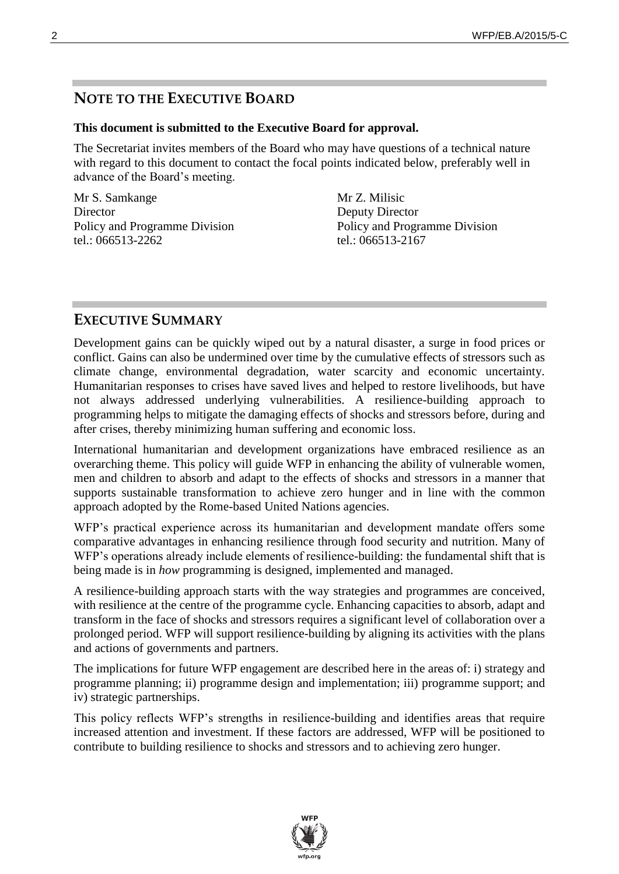## **NOTE TO THE EXECUTIVE BOARD**

#### **This document is submitted to the Executive Board for approval.**

The Secretariat invites members of the Board who may have questions of a technical nature with regard to this document to contact the focal points indicated below, preferably well in advance of the Board's meeting.

Mr S. Samkange **Director** Policy and Programme Division tel.: 066513-2262

Mr Z. Milisic Deputy Director Policy and Programme Division tel.: 066513-2167

## **EXECUTIVE SUMMARY**

Development gains can be quickly wiped out by a natural disaster, a surge in food prices or conflict. Gains can also be undermined over time by the cumulative effects of stressors such as climate change, environmental degradation, water scarcity and economic uncertainty. Humanitarian responses to crises have saved lives and helped to restore livelihoods, but have not always addressed underlying vulnerabilities. A resilience-building approach to programming helps to mitigate the damaging effects of shocks and stressors before, during and after crises, thereby minimizing human suffering and economic loss.

International humanitarian and development organizations have embraced resilience as an overarching theme. This policy will guide WFP in enhancing the ability of vulnerable women, men and children to absorb and adapt to the effects of shocks and stressors in a manner that supports sustainable transformation to achieve zero hunger and in line with the common approach adopted by the Rome-based United Nations agencies.

WFP's practical experience across its humanitarian and development mandate offers some comparative advantages in enhancing resilience through food security and nutrition. Many of WFP's operations already include elements of resilience-building: the fundamental shift that is being made is in *how* programming is designed, implemented and managed.

A resilience-building approach starts with the way strategies and programmes are conceived, with resilience at the centre of the programme cycle. Enhancing capacities to absorb, adapt and transform in the face of shocks and stressors requires a significant level of collaboration over a prolonged period. WFP will support resilience-building by aligning its activities with the plans and actions of governments and partners.

The implications for future WFP engagement are described here in the areas of: i) strategy and programme planning; ii) programme design and implementation; iii) programme support; and iv) strategic partnerships.

This policy reflects WFP's strengths in resilience-building and identifies areas that require increased attention and investment. If these factors are addressed, WFP will be positioned to contribute to building resilience to shocks and stressors and to achieving zero hunger.

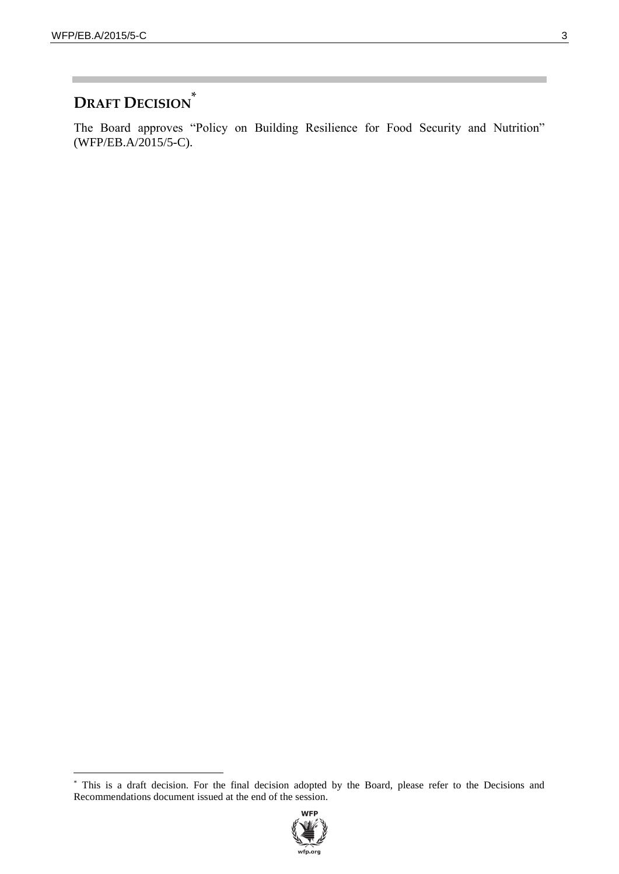$\overline{a}$ 

## **DRAFT DECISION** \*

The Board approves "Policy on Building Resilience for Food Security and Nutrition" (WFP/EB.A/2015/5-C).

<sup>\*</sup> This is a draft decision. For the final decision adopted by the Board, please refer to the Decisions and Recommendations document issued at the end of the session.

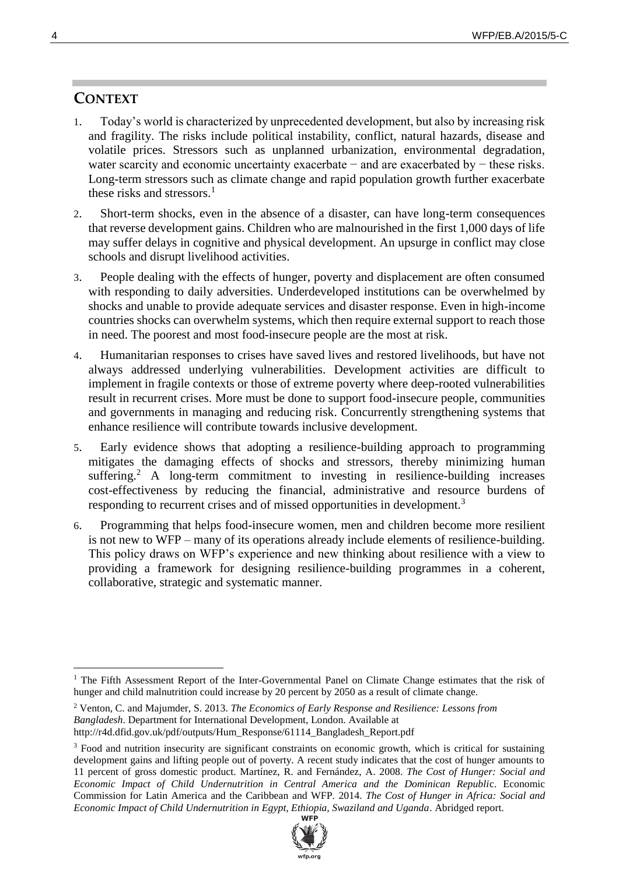## **CONTEXT**

- 1. Today's world is characterized by unprecedented development, but also by increasing risk and fragility. The risks include political instability, conflict, natural hazards, disease and volatile prices. Stressors such as unplanned urbanization, environmental degradation, water scarcity and economic uncertainty exacerbate − and are exacerbated by − these risks. Long-term stressors such as climate change and rapid population growth further exacerbate these risks and stressors.<sup>1</sup>
- 2. Short-term shocks, even in the absence of a disaster, can have long-term consequences that reverse development gains. Children who are malnourished in the first 1,000 days of life may suffer delays in cognitive and physical development. An upsurge in conflict may close schools and disrupt livelihood activities.
- 3. People dealing with the effects of hunger, poverty and displacement are often consumed with responding to daily adversities. Underdeveloped institutions can be overwhelmed by shocks and unable to provide adequate services and disaster response. Even in high-income countries shocks can overwhelm systems, which then require external support to reach those in need. The poorest and most food-insecure people are the most at risk.
- 4. Humanitarian responses to crises have saved lives and restored livelihoods, but have not always addressed underlying vulnerabilities. Development activities are difficult to implement in fragile contexts or those of extreme poverty where deep-rooted vulnerabilities result in recurrent crises. More must be done to support food-insecure people, communities and governments in managing and reducing risk. Concurrently strengthening systems that enhance resilience will contribute towards inclusive development.
- 5. Early evidence shows that adopting a resilience-building approach to programming mitigates the damaging effects of shocks and stressors, thereby minimizing human suffering.<sup>2</sup> A long-term commitment to investing in resilience-building increases cost-effectiveness by reducing the financial, administrative and resource burdens of responding to recurrent crises and of missed opportunities in development.<sup>3</sup>
- 6. Programming that helps food-insecure women, men and children become more resilient is not new to WFP – many of its operations already include elements of resilience-building. This policy draws on WFP's experience and new thinking about resilience with a view to providing a framework for designing resilience-building programmes in a coherent, collaborative, strategic and systematic manner.

<sup>&</sup>lt;sup>3</sup> Food and nutrition insecurity are significant constraints on economic growth, which is critical for sustaining development gains and lifting people out of poverty. A recent study indicates that the cost of hunger amounts to 11 percent of gross domestic product. Martínez, R. and Fernández, A. 2008. *The Cost of Hunger: Social and Economic Impact of Child Undernutrition in Central America and the Dominican Republi*c. Economic Commission for Latin America and the Caribbean and WFP*.* 2014. *The Cost of Hunger in Africa: Social and Economic Impact of Child Undernutrition in Egypt, Ethiopia, Swaziland and Uganda*. Abridged report.



 $\overline{a}$ <sup>1</sup> The Fifth Assessment Report of the Inter-Governmental Panel on Climate Change estimates that the risk of hunger and child malnutrition could increase by 20 percent by 2050 as a result of climate change.

<sup>2</sup> Venton, C. and Majumder, S. 2013. *The Economics of Early Response and Resilience: Lessons from Bangladesh*. Department for International Development, London. Available at http://r4d.dfid.gov.uk/pdf/outputs/Hum\_Response/61114\_Bangladesh\_Report.pdf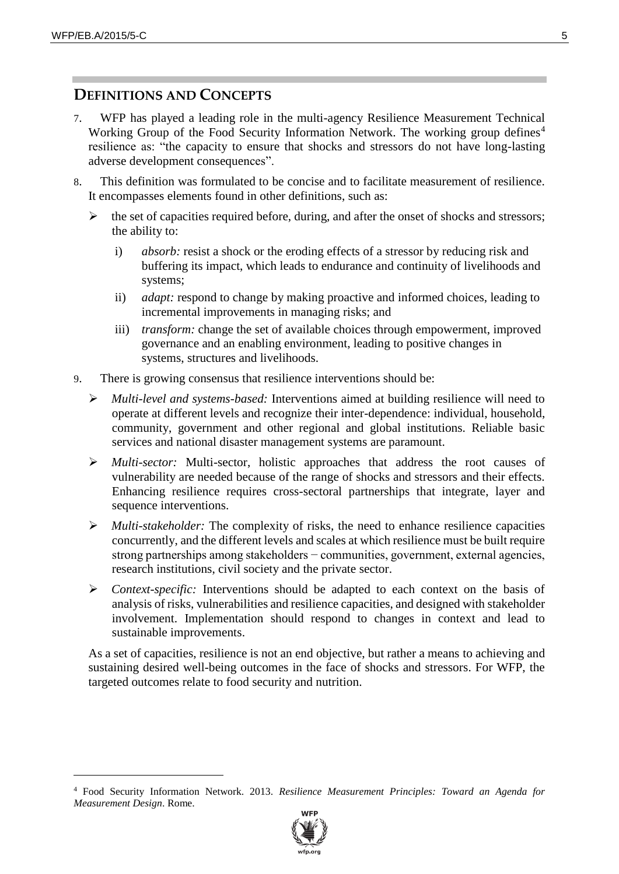$\overline{a}$ 

#### **DEFINITIONS AND CONCEPTS**

- 7. WFP has played a leading role in the multi-agency Resilience Measurement Technical Working Group of the Food Security Information Network. The working group defines<sup>4</sup> resilience as: "the capacity to ensure that shocks and stressors do not have long-lasting adverse development consequences".
- 8. This definition was formulated to be concise and to facilitate measurement of resilience. It encompasses elements found in other definitions, such as:
	- $\triangleright$  the set of capacities required before, during, and after the onset of shocks and stressors; the ability to:
		- i) *absorb:* resist a shock or the eroding effects of a stressor by reducing risk and buffering its impact, which leads to endurance and continuity of livelihoods and systems;
		- ii) *adapt:* respond to change by making proactive and informed choices, leading to incremental improvements in managing risks; and
		- iii) *transform:* change the set of available choices through empowerment, improved governance and an enabling environment, leading to positive changes in systems, structures and livelihoods.
- 9. There is growing consensus that resilience interventions should be:
	- *Multi-level and systems-based:* Interventions aimed at building resilience will need to operate at different levels and recognize their inter-dependence: individual, household, community, government and other regional and global institutions. Reliable basic services and national disaster management systems are paramount.
	- *Multi-sector:* Multi-sector, holistic approaches that address the root causes of vulnerability are needed because of the range of shocks and stressors and their effects. Enhancing resilience requires cross-sectoral partnerships that integrate, layer and sequence interventions.
	- *Multi-stakeholder:* The complexity of risks, the need to enhance resilience capacities concurrently, and the different levels and scales at which resilience must be built require strong partnerships among stakeholders − communities, government, external agencies, research institutions, civil society and the private sector.
	- *Context-specific:* Interventions should be adapted to each context on the basis of analysis of risks, vulnerabilities and resilience capacities, and designed with stakeholder involvement. Implementation should respond to changes in context and lead to sustainable improvements.

As a set of capacities, resilience is not an end objective, but rather a means to achieving and sustaining desired well-being outcomes in the face of shocks and stressors. For WFP, the targeted outcomes relate to food security and nutrition.

<sup>4</sup> Food Security Information Network. 2013. *Resilience Measurement Principles: Toward an Agenda for Measurement Design*. Rome.

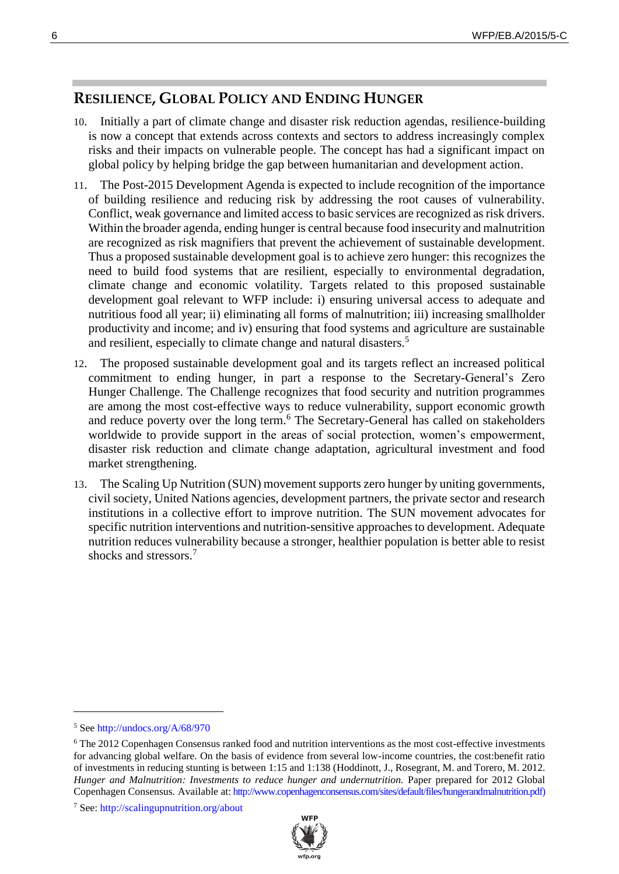## **RESILIENCE, GLOBAL POLICY AND ENDING HUNGER**

- 10. Initially a part of climate change and disaster risk reduction agendas, resilience-building is now a concept that extends across contexts and sectors to address increasingly complex risks and their impacts on vulnerable people. The concept has had a significant impact on global policy by helping bridge the gap between humanitarian and development action.
- 11. The Post-2015 Development Agenda is expected to include recognition of the importance of building resilience and reducing risk by addressing the root causes of vulnerability. Conflict, weak governance and limited access to basic services are recognized as risk drivers. Within the broader agenda, ending hunger is central because food insecurity and malnutrition are recognized as risk magnifiers that prevent the achievement of sustainable development. Thus a proposed sustainable development goal is to achieve zero hunger: this recognizes the need to build food systems that are resilient, especially to environmental degradation, climate change and economic volatility. Targets related to this proposed sustainable development goal relevant to WFP include: i) ensuring universal access to adequate and nutritious food all year; ii) eliminating all forms of malnutrition; iii) increasing smallholder productivity and income; and iv) ensuring that food systems and agriculture are sustainable and resilient, especially to climate change and natural disasters.<sup>5</sup>
- 12. The proposed sustainable development goal and its targets reflect an increased political commitment to ending hunger, in part a response to the Secretary-General's Zero Hunger Challenge. The Challenge recognizes that food security and nutrition programmes are among the most cost-effective ways to reduce vulnerability, support economic growth and reduce poverty over the long term.<sup>6</sup> The Secretary-General has called on stakeholders worldwide to provide support in the areas of social protection, women's empowerment, disaster risk reduction and climate change adaptation, agricultural investment and food market strengthening.
- 13. The Scaling Up Nutrition (SUN) movement supports zero hunger by uniting governments, civil society, United Nations agencies, development partners, the private sector and research institutions in a collective effort to improve nutrition. The SUN movement advocates for specific nutrition interventions and nutrition-sensitive approaches to development. Adequate nutrition reduces vulnerability because a stronger, healthier population is better able to resist shocks and stressors.<sup>7</sup>

<sup>7</sup> See:<http://scalingupnutrition.org/about>



<sup>5</sup> Se[e http://undocs.org/A/68/970](http://undocs.org/A/68/970)

<sup>6</sup> The 2012 Copenhagen Consensus ranked food and nutrition interventions as the most cost-effective investments for advancing global welfare. On the basis of evidence from several low-income countries, the cost:benefit ratio of investments in reducing stunting is between 1:15 and 1:138 (Hoddinott, J., Rosegrant, M. and Torero, M. 2012. *Hunger and Malnutrition: Investments to reduce hunger and undernutrition.* Paper prepared for 2012 Global Copenhagen Consensus*.* Available at: [http://www.copenhagenconsensus.com/sites/default/files/hungerandmalnutrition.pdf\)](http://www.copenhagenconsensus.com/sites/default/files/hungerandmalnutrition.pdf)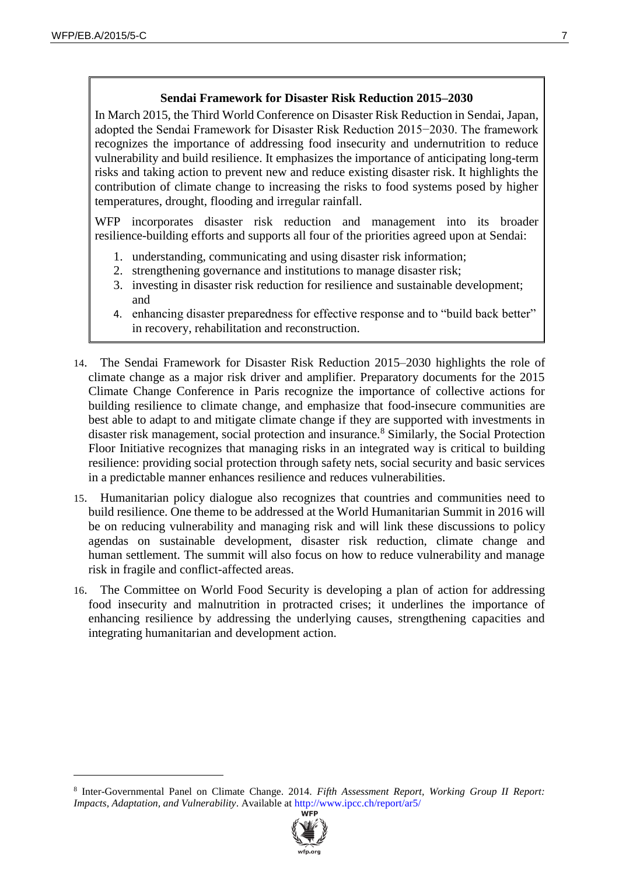$\overline{a}$ 

#### **Sendai Framework for Disaster Risk Reduction 2015–2030**

In March 2015, the Third World Conference on Disaster Risk Reduction in Sendai, Japan, adopted the Sendai Framework for Disaster Risk Reduction 2015−2030. The framework recognizes the importance of addressing food insecurity and undernutrition to reduce vulnerability and build resilience. It emphasizes the importance of anticipating long-term risks and taking action to prevent new and reduce existing disaster risk. It highlights the contribution of climate change to increasing the risks to food systems posed by higher temperatures, drought, flooding and irregular rainfall.

WFP incorporates disaster risk reduction and management into its broader resilience-building efforts and supports all four of the priorities agreed upon at Sendai:

- 1. understanding, communicating and using disaster risk information;
- 2. strengthening governance and institutions to manage disaster risk;
- 3. investing in disaster risk reduction for resilience and sustainable development; and
- 4. enhancing disaster preparedness for effective response and to "build back better" in recovery, rehabilitation and reconstruction.
- 14. The Sendai Framework for Disaster Risk Reduction 2015–2030 highlights the role of climate change as a major risk driver and amplifier. Preparatory documents for the 2015 Climate Change Conference in Paris recognize the importance of collective actions for building resilience to climate change, and emphasize that food-insecure communities are best able to adapt to and mitigate climate change if they are supported with investments in disaster risk management, social protection and insurance.<sup>8</sup> Similarly, the Social Protection Floor Initiative recognizes that managing risks in an integrated way is critical to building resilience: providing social protection through safety nets, social security and basic services in a predictable manner enhances resilience and reduces vulnerabilities.
- 15. Humanitarian policy dialogue also recognizes that countries and communities need to build resilience. One theme to be addressed at the World Humanitarian Summit in 2016 will be on reducing vulnerability and managing risk and will link these discussions to policy agendas on sustainable development, disaster risk reduction, climate change and human settlement. The summit will also focus on how to reduce vulnerability and manage risk in fragile and conflict-affected areas.
- 16. The Committee on World Food Security is developing a plan of action for addressing food insecurity and malnutrition in protracted crises; it underlines the importance of enhancing resilience by addressing the underlying causes, strengthening capacities and integrating humanitarian and development action.

<sup>8</sup> Inter-Governmental Panel on Climate Change. 2014. *Fifth Assessment Report, Working Group II Report: Impacts, Adaptation, and Vulnerability*. Available at<http://www.ipcc.ch/report/ar5/>

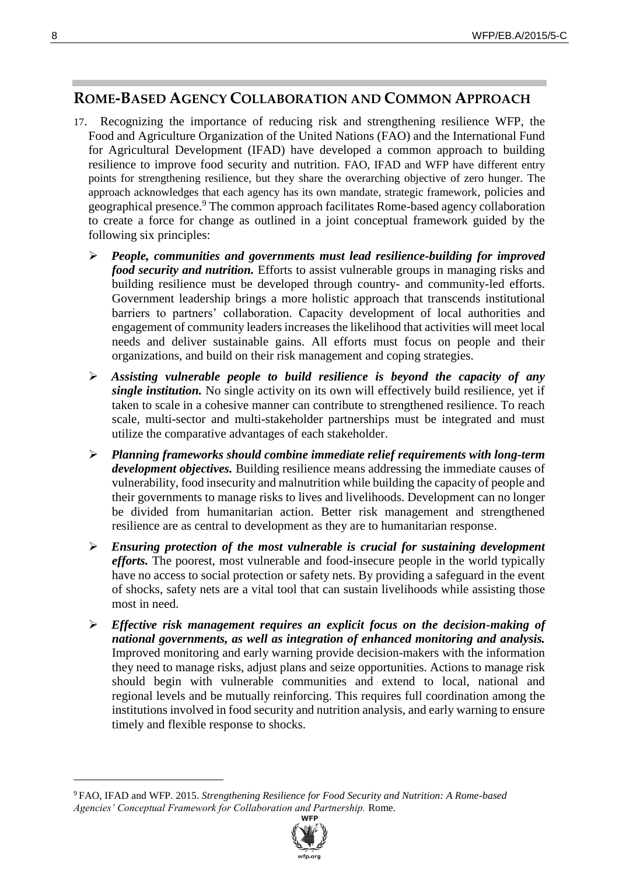## **ROME-BASED AGENCY COLLABORATION AND COMMON APPROACH**

- 17. Recognizing the importance of reducing risk and strengthening resilience WFP, the Food and Agriculture Organization of the United Nations (FAO) and the International Fund for Agricultural Development (IFAD) have developed a common approach to building resilience to improve food security and nutrition. FAO, IFAD and WFP have different entry points for strengthening resilience, but they share the overarching objective of zero hunger. The approach acknowledges that each agency has its own mandate, strategic framework, policies and geographical presence.<sup>9</sup> The common approach facilitates Rome-based agency collaboration to create a force for change as outlined in a joint conceptual framework guided by the following six principles:
	- *People, communities and governments must lead resilience-building for improved food security and nutrition.* Efforts to assist vulnerable groups in managing risks and building resilience must be developed through country- and community-led efforts. Government leadership brings a more holistic approach that transcends institutional barriers to partners' collaboration. Capacity development of local authorities and engagement of community leaders increases the likelihood that activities will meet local needs and deliver sustainable gains. All efforts must focus on people and their organizations, and build on their risk management and coping strategies.
	- *Assisting vulnerable people to build resilience is beyond the capacity of any single institution.* No single activity on its own will effectively build resilience, yet if taken to scale in a cohesive manner can contribute to strengthened resilience. To reach scale, multi-sector and multi-stakeholder partnerships must be integrated and must utilize the comparative advantages of each stakeholder.
	- *Planning frameworks should combine immediate relief requirements with long-term development objectives.* Building resilience means addressing the immediate causes of vulnerability, food insecurity and malnutrition while building the capacity of people and their governments to manage risks to lives and livelihoods. Development can no longer be divided from humanitarian action. Better risk management and strengthened resilience are as central to development as they are to humanitarian response.
	- *Ensuring protection of the most vulnerable is crucial for sustaining development efforts.* The poorest, most vulnerable and food-insecure people in the world typically have no access to social protection or safety nets. By providing a safeguard in the event of shocks, safety nets are a vital tool that can sustain livelihoods while assisting those most in need.
	- *Effective risk management requires an explicit focus on the decision-making of national governments, as well as integration of enhanced monitoring and analysis.* Improved monitoring and early warning provide decision-makers with the information they need to manage risks, adjust plans and seize opportunities. Actions to manage risk should begin with vulnerable communities and extend to local, national and regional levels and be mutually reinforcing. This requires full coordination among the institutions involved in food security and nutrition analysis, and early warning to ensure timely and flexible response to shocks.

<sup>9</sup> FAO, IFAD and WFP. 2015. *Strengthening Resilience for Food Security and Nutrition: A Rome-based Agencies' Conceptual Framework for Collaboration and Partnership.* Rome.

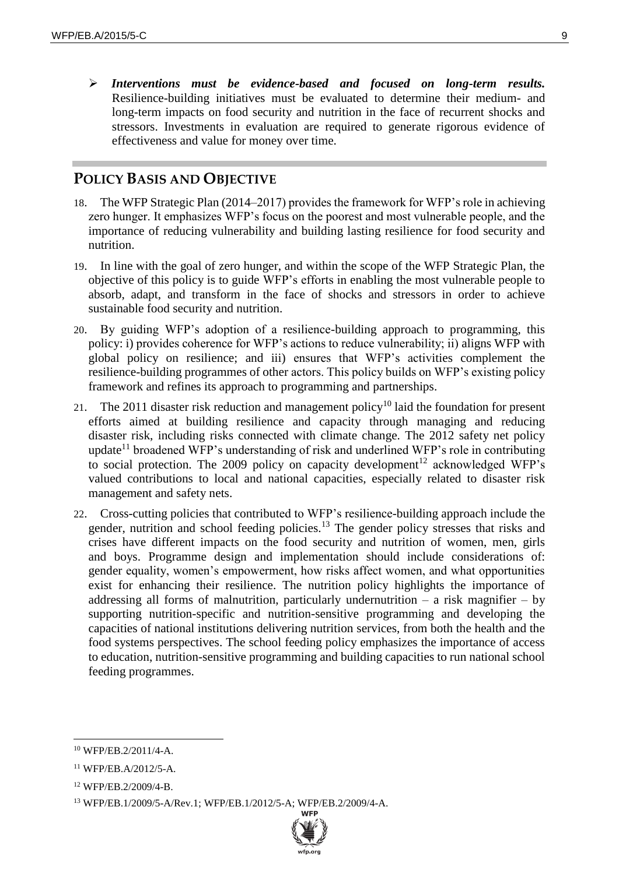*Interventions must be evidence-based and focused on long-term results.* Resilience-building initiatives must be evaluated to determine their medium- and long-term impacts on food security and nutrition in the face of recurrent shocks and stressors. Investments in evaluation are required to generate rigorous evidence of effectiveness and value for money over time.

## **POLICY BASIS AND OBJECTIVE**

- 18. The WFP Strategic Plan (2014–2017) provides the framework for WFP's role in achieving zero hunger. It emphasizes WFP's focus on the poorest and most vulnerable people, and the importance of reducing vulnerability and building lasting resilience for food security and nutrition.
- 19. In line with the goal of zero hunger, and within the scope of the WFP Strategic Plan, the objective of this policy is to guide WFP's efforts in enabling the most vulnerable people to absorb, adapt, and transform in the face of shocks and stressors in order to achieve sustainable food security and nutrition.
- 20. By guiding WFP's adoption of a resilience-building approach to programming, this policy: i) provides coherence for WFP's actions to reduce vulnerability; ii) aligns WFP with global policy on resilience; and iii) ensures that WFP's activities complement the resilience-building programmes of other actors. This policy builds on WFP's existing policy framework and refines its approach to programming and partnerships.
- 21. The 2011 disaster risk reduction and management policy<sup>10</sup> laid the foundation for present efforts aimed at building resilience and capacity through managing and reducing disaster risk, including risks connected with climate change. The 2012 safety net policy update<sup>11</sup> broadened WFP's understanding of risk and underlined WFP's role in contributing to social protection. The 2009 policy on capacity development<sup>12</sup> acknowledged WFP's valued contributions to local and national capacities, especially related to disaster risk management and safety nets.
- 22. Cross-cutting policies that contributed to WFP's resilience-building approach include the gender, nutrition and school feeding policies.<sup>13</sup> The gender policy stresses that risks and crises have different impacts on the food security and nutrition of women, men, girls and boys. Programme design and implementation should include considerations of: gender equality, women's empowerment, how risks affect women, and what opportunities exist for enhancing their resilience. The nutrition policy highlights the importance of addressing all forms of malnutrition, particularly undernutrition – a risk magnifier – by supporting nutrition-specific and nutrition-sensitive programming and developing the capacities of national institutions delivering nutrition services, from both the health and the food systems perspectives. The school feeding policy emphasizes the importance of access to education, nutrition-sensitive programming and building capacities to run national school feeding programmes.

<sup>13</sup> WFP/EB.1/2009/5-A/Rev.1; WFP/EB.1/2012/5-A; WFP/EB.2/2009/4-A.



<sup>10</sup> WFP/EB.2/2011/4-A.

<sup>11</sup> WFP/EB.A/2012/5-A.

<sup>12</sup> WFP/EB.2/2009/4-B.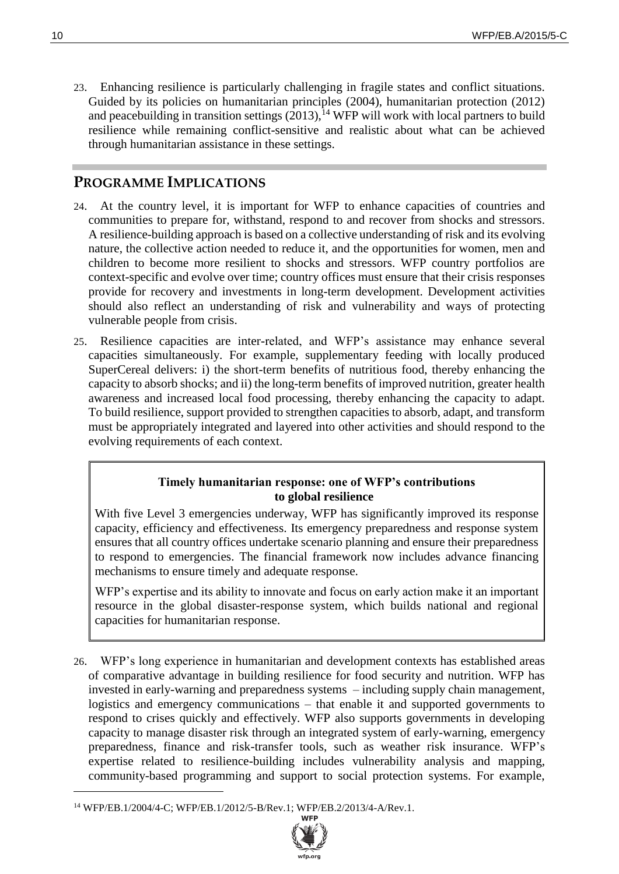23. Enhancing resilience is particularly challenging in fragile states and conflict situations. Guided by its policies on humanitarian principles (2004), humanitarian protection (2012) and peacebuilding in transition settings  $(2013)$ ,<sup>14</sup> WFP will work with local partners to build resilience while remaining conflict-sensitive and realistic about what can be achieved through humanitarian assistance in these settings.

## **PROGRAMME IMPLICATIONS**

- 24. At the country level, it is important for WFP to enhance capacities of countries and communities to prepare for, withstand, respond to and recover from shocks and stressors. A resilience-building approach is based on a collective understanding of risk and its evolving nature, the collective action needed to reduce it, and the opportunities for women, men and children to become more resilient to shocks and stressors. WFP country portfolios are context-specific and evolve over time; country offices must ensure that their crisis responses provide for recovery and investments in long-term development. Development activities should also reflect an understanding of risk and vulnerability and ways of protecting vulnerable people from crisis.
- 25. Resilience capacities are inter-related, and WFP's assistance may enhance several capacities simultaneously. For example, supplementary feeding with locally produced SuperCereal delivers: i) the short-term benefits of nutritious food, thereby enhancing the capacity to absorb shocks; and ii) the long-term benefits of improved nutrition, greater health awareness and increased local food processing, thereby enhancing the capacity to adapt. To build resilience, support provided to strengthen capacities to absorb, adapt, and transform must be appropriately integrated and layered into other activities and should respond to the evolving requirements of each context.

#### **Timely humanitarian response: one of WFP's contributions to global resilience**

With five Level 3 emergencies underway, WFP has significantly improved its response capacity, efficiency and effectiveness. Its emergency preparedness and response system ensures that all country offices undertake scenario planning and ensure their preparedness to respond to emergencies. The financial framework now includes advance financing mechanisms to ensure timely and adequate response.

WFP's expertise and its ability to innovate and focus on early action make it an important resource in the global disaster-response system, which builds national and regional capacities for humanitarian response.

26. WFP's long experience in humanitarian and development contexts has established areas of comparative advantage in building resilience for food security and nutrition. WFP has invested in early-warning and preparedness systems – including supply chain management, logistics and emergency communications – that enable it and supported governments to respond to crises quickly and effectively. WFP also supports governments in developing capacity to manage disaster risk through an integrated system of early-warning, emergency preparedness, finance and risk-transfer tools, such as weather risk insurance. WFP's expertise related to resilience-building includes vulnerability analysis and mapping, community-based programming and support to social protection systems. For example,

<sup>14</sup> WFP/EB.1/2004/4-C; WFP/EB.1/2012/5-B/Rev.1; WFP/EB.2/2013/4-A/Rev.1.

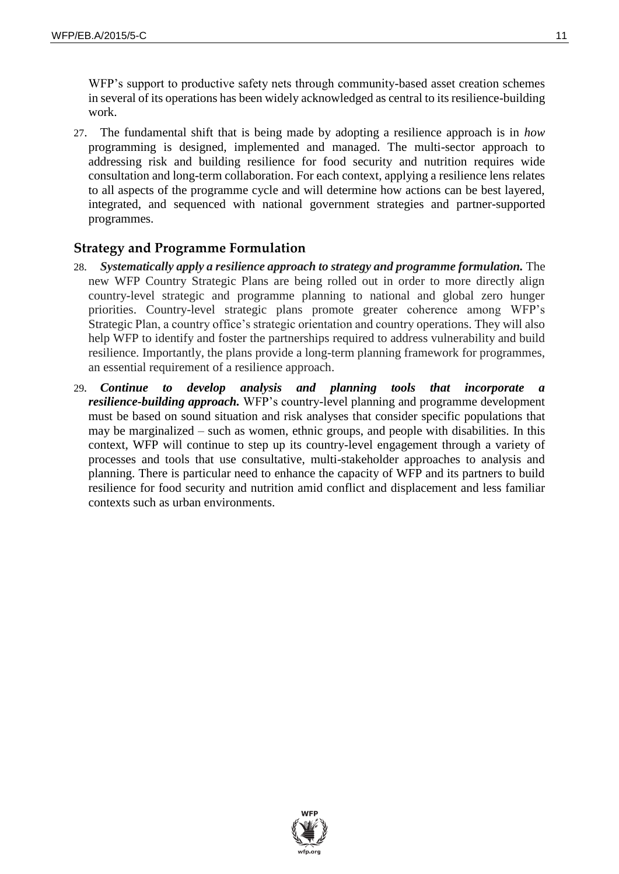WFP's support to productive safety nets through community-based asset creation schemes in several of its operations has been widely acknowledged as central to its resilience-building work.

27. The fundamental shift that is being made by adopting a resilience approach is in *how* programming is designed, implemented and managed. The multi-sector approach to addressing risk and building resilience for food security and nutrition requires wide consultation and long-term collaboration. For each context, applying a resilience lens relates to all aspects of the programme cycle and will determine how actions can be best layered, integrated, and sequenced with national government strategies and partner-supported programmes.

### **Strategy and Programme Formulation**

- 28*. Systematically apply a resilience approach to strategy and programme formulation.* The new WFP Country Strategic Plans are being rolled out in order to more directly align country-level strategic and programme planning to national and global zero hunger priorities. Country-level strategic plans promote greater coherence among WFP's Strategic Plan, a country office's strategic orientation and country operations. They will also help WFP to identify and foster the partnerships required to address vulnerability and build resilience. Importantly, the plans provide a long-term planning framework for programmes, an essential requirement of a resilience approach.
- 29*. Continue to develop analysis and planning tools that incorporate a resilience-building approach.* WFP's country-level planning and programme development must be based on sound situation and risk analyses that consider specific populations that may be marginalized – such as women, ethnic groups, and people with disabilities. In this context, WFP will continue to step up its country-level engagement through a variety of processes and tools that use consultative, multi-stakeholder approaches to analysis and planning. There is particular need to enhance the capacity of WFP and its partners to build resilience for food security and nutrition amid conflict and displacement and less familiar contexts such as urban environments.

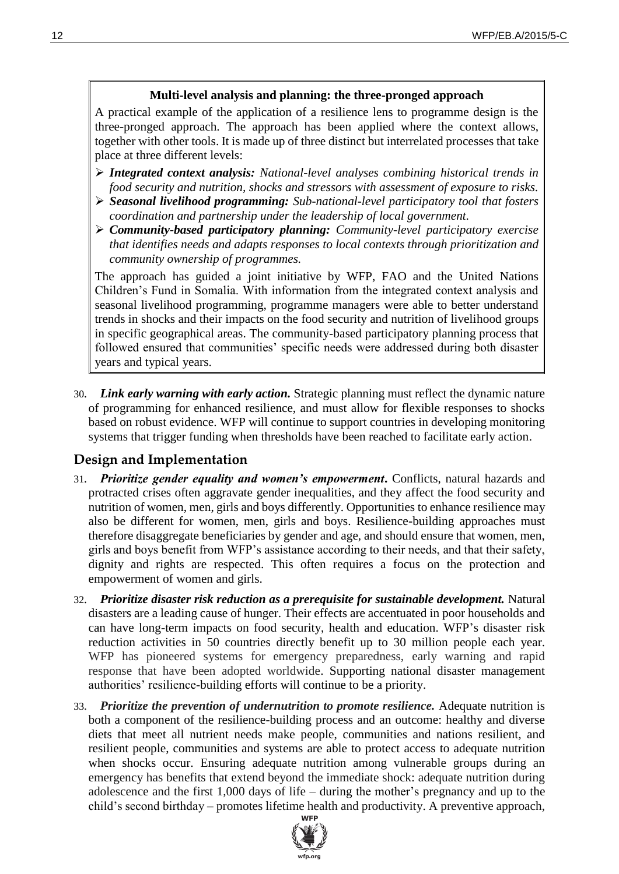#### **Multi-level analysis and planning: the three-pronged approach**

A practical example of the application of a resilience lens to programme design is the three-pronged approach. The approach has been applied where the context allows, together with other tools. It is made up of three distinct but interrelated processes that take place at three different levels:

- *Integrated context analysis: National-level analyses combining historical trends in food security and nutrition, shocks and stressors with assessment of exposure to risks.*
- *Seasonal livelihood programming: Sub-national-level participatory tool that fosters coordination and partnership under the leadership of local government.*
- *Community-based participatory planning: Community-level participatory exercise that identifies needs and adapts responses to local contexts through prioritization and community ownership of programmes.*

The approach has guided a joint initiative by WFP, FAO and the United Nations Children's Fund in Somalia. With information from the integrated context analysis and seasonal livelihood programming, programme managers were able to better understand trends in shocks and their impacts on the food security and nutrition of livelihood groups in specific geographical areas. The community-based participatory planning process that followed ensured that communities' specific needs were addressed during both disaster years and typical years.

30*. Link early warning with early action.* Strategic planning must reflect the dynamic nature of programming for enhanced resilience, and must allow for flexible responses to shocks based on robust evidence. WFP will continue to support countries in developing monitoring systems that trigger funding when thresholds have been reached to facilitate early action.

### **Design and Implementation**

- 31*. Prioritize gender equality and women's empowerment***.** Conflicts, natural hazards and protracted crises often aggravate gender inequalities, and they affect the food security and nutrition of women, men, girls and boys differently. Opportunities to enhance resilience may also be different for women, men, girls and boys. Resilience-building approaches must therefore disaggregate beneficiaries by gender and age, and should ensure that women, men, girls and boys benefit from WFP's assistance according to their needs, and that their safety, dignity and rights are respected. This often requires a focus on the protection and empowerment of women and girls.
- 32*. Prioritize disaster risk reduction as a prerequisite for sustainable development.* Natural disasters are a leading cause of hunger. Their effects are accentuated in poor households and can have long-term impacts on food security, health and education. WFP's disaster risk reduction activities in 50 countries directly benefit up to 30 million people each year. WFP has pioneered systems for emergency preparedness, early warning and rapid response that have been adopted worldwide. Supporting national disaster management authorities' resilience-building efforts will continue to be a priority.
- 33*. Prioritize the prevention of undernutrition to promote resilience.* Adequate nutrition is both a component of the resilience-building process and an outcome: healthy and diverse diets that meet all nutrient needs make people, communities and nations resilient, and resilient people, communities and systems are able to protect access to adequate nutrition when shocks occur. Ensuring adequate nutrition among vulnerable groups during an emergency has benefits that extend beyond the immediate shock: adequate nutrition during adolescence and the first 1,000 days of life – during the mother's pregnancy and up to the child's second birthday – promotes lifetime health and productivity. A preventive approach,

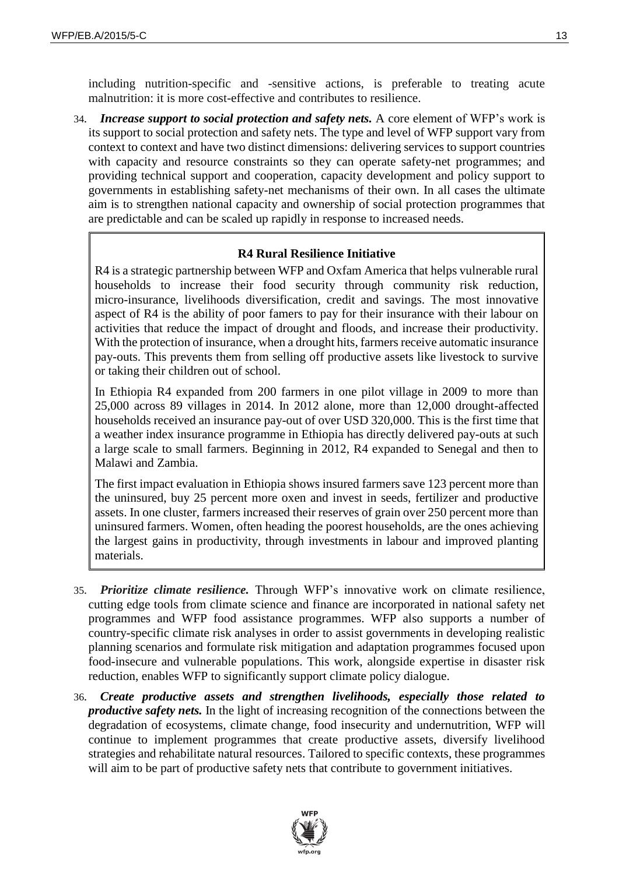34*. Increase support to social protection and safety nets.* A core element of WFP's work is its support to social protection and safety nets. The type and level of WFP support vary from context to context and have two distinct dimensions: delivering services to support countries with capacity and resource constraints so they can operate safety-net programmes; and providing technical support and cooperation, capacity development and policy support to governments in establishing safety-net mechanisms of their own. In all cases the ultimate aim is to strengthen national capacity and ownership of social protection programmes that are predictable and can be scaled up rapidly in response to increased needs.

#### **R4 Rural Resilience Initiative**

R4 is a strategic partnership between WFP and Oxfam America that helps vulnerable rural households to increase their food security through community risk reduction, micro-insurance, livelihoods diversification, credit and savings. The most innovative aspect of R4 is the ability of poor famers to pay for their insurance with their labour on activities that reduce the impact of drought and floods, and increase their productivity. With the protection of insurance, when a drought hits, farmers receive automatic insurance pay-outs. This prevents them from selling off productive assets like livestock to survive or taking their children out of school.

In Ethiopia R4 expanded from 200 farmers in one pilot village in 2009 to more than 25,000 across 89 villages in 2014. In 2012 alone, more than 12,000 drought-affected households received an insurance pay-out of over USD 320,000. This is the first time that a weather index insurance programme in Ethiopia has directly delivered pay-outs at such a large scale to small farmers. Beginning in 2012, R4 expanded to Senegal and then to Malawi and Zambia.

The first impact evaluation in Ethiopia shows insured farmers save 123 percent more than the uninsured, buy 25 percent more oxen and invest in seeds, fertilizer and productive assets. In one cluster, farmers increased their reserves of grain over 250 percent more than uninsured farmers. Women, often heading the poorest households, are the ones achieving the largest gains in productivity, through investments in labour and improved planting materials.

- 35*. Prioritize climate resilience.* Through WFP's innovative work on climate resilience, cutting edge tools from climate science and finance are incorporated in national safety net programmes and WFP food assistance programmes. WFP also supports a number of country-specific climate risk analyses in order to assist governments in developing realistic planning scenarios and formulate risk mitigation and adaptation programmes focused upon food-insecure and vulnerable populations. This work, alongside expertise in disaster risk reduction, enables WFP to significantly support climate policy dialogue.
- 36*. Create productive assets and strengthen livelihoods, especially those related to productive safety nets.* In the light of increasing recognition of the connections between the degradation of ecosystems, climate change, food insecurity and undernutrition, WFP will continue to implement programmes that create productive assets, diversify livelihood strategies and rehabilitate natural resources. Tailored to specific contexts, these programmes will aim to be part of productive safety nets that contribute to government initiatives.

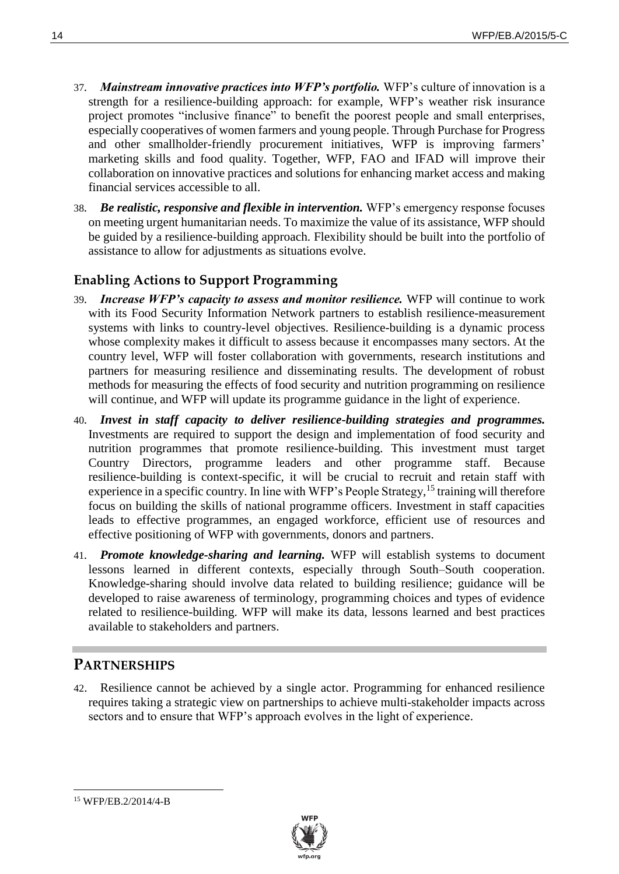- 37*. Mainstream innovative practices into WFP's portfolio.* WFP's culture of innovation is a strength for a resilience-building approach: for example, WFP's weather risk insurance project promotes "inclusive finance" to benefit the poorest people and small enterprises, especially cooperatives of women farmers and young people. Through Purchase for Progress and other smallholder-friendly procurement initiatives, WFP is improving farmers' marketing skills and food quality. Together, WFP, FAO and IFAD will improve their collaboration on innovative practices and solutions for enhancing market access and making financial services accessible to all.
- 38*. Be realistic, responsive and flexible in intervention.* WFP's emergency response focuses on meeting urgent humanitarian needs. To maximize the value of its assistance, WFP should be guided by a resilience-building approach. Flexibility should be built into the portfolio of assistance to allow for adjustments as situations evolve.

## **Enabling Actions to Support Programming**

- 39*. Increase WFP's capacity to assess and monitor resilience.* WFP will continue to work with its Food Security Information Network partners to establish resilience-measurement systems with links to country-level objectives. Resilience-building is a dynamic process whose complexity makes it difficult to assess because it encompasses many sectors. At the country level, WFP will foster collaboration with governments, research institutions and partners for measuring resilience and disseminating results. The development of robust methods for measuring the effects of food security and nutrition programming on resilience will continue, and WFP will update its programme guidance in the light of experience.
- 40*. Invest in staff capacity to deliver resilience-building strategies and programmes.* Investments are required to support the design and implementation of food security and nutrition programmes that promote resilience-building. This investment must target Country Directors, programme leaders and other programme staff. Because resilience-building is context-specific, it will be crucial to recruit and retain staff with experience in a specific country. In line with WFP's People Strategy,<sup>15</sup> training will therefore focus on building the skills of national programme officers. Investment in staff capacities leads to effective programmes, an engaged workforce, efficient use of resources and effective positioning of WFP with governments, donors and partners.
- 41*. Promote knowledge-sharing and learning.* WFP will establish systems to document lessons learned in different contexts, especially through South–South cooperation. Knowledge-sharing should involve data related to building resilience; guidance will be developed to raise awareness of terminology, programming choices and types of evidence related to resilience-building. WFP will make its data, lessons learned and best practices available to stakeholders and partners.

## **PARTNERSHIPS**

42. Resilience cannot be achieved by a single actor. Programming for enhanced resilience requires taking a strategic view on partnerships to achieve multi-stakeholder impacts across sectors and to ensure that WFP's approach evolves in the light of experience.

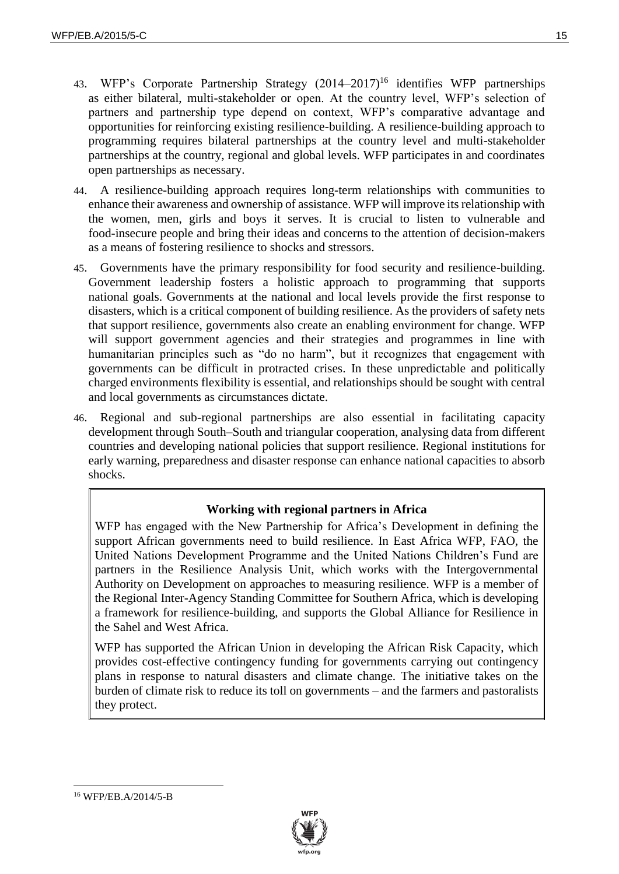- 43. WFP's Corporate Partnership Strategy (2014–2017)<sup>16</sup> identifies WFP partnerships as either bilateral, multi-stakeholder or open. At the country level, WFP's selection of partners and partnership type depend on context, WFP's comparative advantage and opportunities for reinforcing existing resilience-building. A resilience-building approach to programming requires bilateral partnerships at the country level and multi-stakeholder partnerships at the country, regional and global levels. WFP participates in and coordinates open partnerships as necessary.
- 44. A resilience-building approach requires long-term relationships with communities to enhance their awareness and ownership of assistance. WFP will improve its relationship with the women, men, girls and boys it serves. It is crucial to listen to vulnerable and food-insecure people and bring their ideas and concerns to the attention of decision-makers as a means of fostering resilience to shocks and stressors.
- 45. Governments have the primary responsibility for food security and resilience-building. Government leadership fosters a holistic approach to programming that supports national goals. Governments at the national and local levels provide the first response to disasters, which is a critical component of building resilience. As the providers of safety nets that support resilience, governments also create an enabling environment for change. WFP will support government agencies and their strategies and programmes in line with humanitarian principles such as "do no harm", but it recognizes that engagement with governments can be difficult in protracted crises. In these unpredictable and politically charged environments flexibility is essential, and relationships should be sought with central and local governments as circumstances dictate.
- 46. Regional and sub-regional partnerships are also essential in facilitating capacity development through South–South and triangular cooperation, analysing data from different countries and developing national policies that support resilience. Regional institutions for early warning, preparedness and disaster response can enhance national capacities to absorb shocks.

#### **Working with regional partners in Africa**

WFP has engaged with the New Partnership for Africa's Development in defining the support African governments need to build resilience. In East Africa WFP, FAO, the United Nations Development Programme and the United Nations Children's Fund are partners in the Resilience Analysis Unit, which works with the Intergovernmental Authority on Development on approaches to measuring resilience. WFP is a member of the Regional Inter-Agency Standing Committee for Southern Africa, which is developing a framework for resilience-building, and supports the Global Alliance for Resilience in the Sahel and West Africa.

WFP has supported the African Union in developing the African Risk Capacity, which provides cost-effective contingency funding for governments carrying out contingency plans in response to natural disasters and climate change. The initiative takes on the burden of climate risk to reduce its toll on governments – and the farmers and pastoralists they protect.

<sup>16</sup> WFP/EB.A/2014/5-B

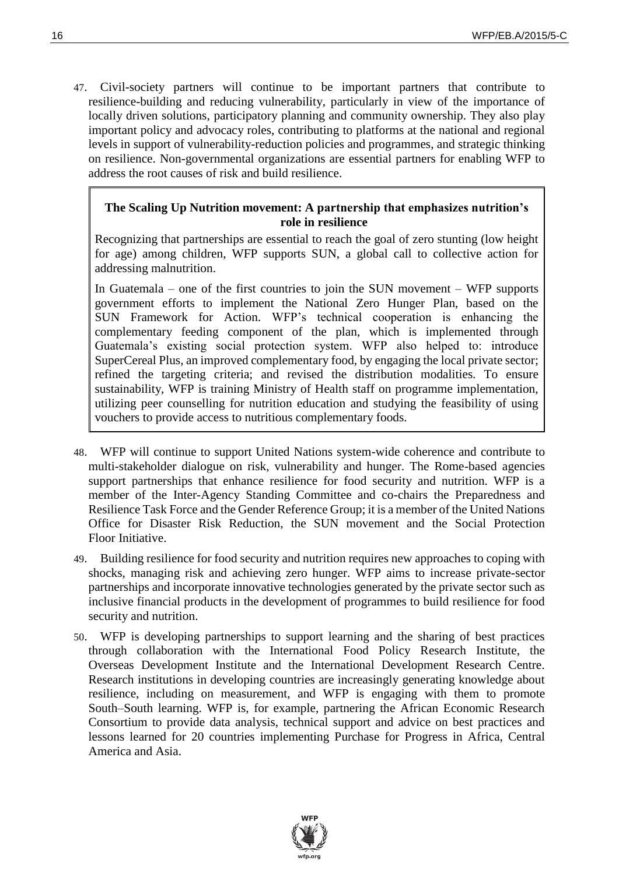47. Civil-society partners will continue to be important partners that contribute to resilience-building and reducing vulnerability, particularly in view of the importance of locally driven solutions, participatory planning and community ownership. They also play important policy and advocacy roles, contributing to platforms at the national and regional levels in support of vulnerability-reduction policies and programmes, and strategic thinking on resilience. Non-governmental organizations are essential partners for enabling WFP to address the root causes of risk and build resilience.

#### **The Scaling Up Nutrition movement: A partnership that emphasizes nutrition's role in resilience**

Recognizing that partnerships are essential to reach the goal of zero stunting (low height for age) among children, WFP supports SUN, a global call to collective action for addressing malnutrition.

In Guatemala – one of the first countries to join the SUN movement – WFP supports government efforts to implement the National Zero Hunger Plan, based on the SUN Framework for Action. WFP's technical cooperation is enhancing the complementary feeding component of the plan, which is implemented through Guatemala's existing social protection system. WFP also helped to: introduce SuperCereal Plus, an improved complementary food, by engaging the local private sector; refined the targeting criteria; and revised the distribution modalities. To ensure sustainability, WFP is training Ministry of Health staff on programme implementation, utilizing peer counselling for nutrition education and studying the feasibility of using vouchers to provide access to nutritious complementary foods.

- 48. WFP will continue to support United Nations system-wide coherence and contribute to multi-stakeholder dialogue on risk, vulnerability and hunger. The Rome-based agencies support partnerships that enhance resilience for food security and nutrition. WFP is a member of the Inter-Agency Standing Committee and co-chairs the Preparedness and Resilience Task Force and the Gender Reference Group; it is a member of the United Nations Office for Disaster Risk Reduction, the SUN movement and the Social Protection Floor Initiative.
- 49. Building resilience for food security and nutrition requires new approaches to coping with shocks, managing risk and achieving zero hunger. WFP aims to increase private-sector partnerships and incorporate innovative technologies generated by the private sector such as inclusive financial products in the development of programmes to build resilience for food security and nutrition.
- 50. WFP is developing partnerships to support learning and the sharing of best practices through collaboration with the International Food Policy Research Institute, the Overseas Development Institute and the International Development Research Centre. Research institutions in developing countries are increasingly generating knowledge about resilience, including on measurement, and WFP is engaging with them to promote South–South learning. WFP is, for example, partnering the African Economic Research Consortium to provide data analysis, technical support and advice on best practices and lessons learned for 20 countries implementing Purchase for Progress in Africa, Central America and Asia.

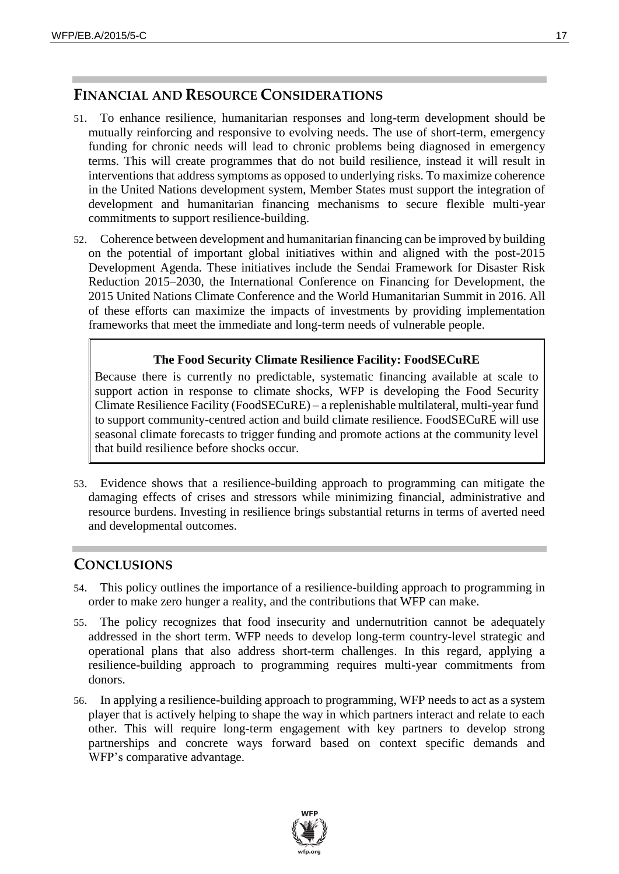### **FINANCIAL AND RESOURCE CONSIDERATIONS**

- 51. To enhance resilience, humanitarian responses and long-term development should be mutually reinforcing and responsive to evolving needs. The use of short-term, emergency funding for chronic needs will lead to chronic problems being diagnosed in emergency terms. This will create programmes that do not build resilience, instead it will result in interventions that address symptoms as opposed to underlying risks. To maximize coherence in the United Nations development system, Member States must support the integration of development and humanitarian financing mechanisms to secure flexible multi-year commitments to support resilience-building.
- 52. Coherence between development and humanitarian financing can be improved by building on the potential of important global initiatives within and aligned with the post-2015 Development Agenda. These initiatives include the Sendai Framework for Disaster Risk Reduction 2015–2030, the International Conference on Financing for Development, the 2015 United Nations Climate Conference and the World Humanitarian Summit in 2016. All of these efforts can maximize the impacts of investments by providing implementation frameworks that meet the immediate and long-term needs of vulnerable people.

#### **The Food Security Climate Resilience Facility: FoodSECuRE**

Because there is currently no predictable, systematic financing available at scale to support action in response to climate shocks, WFP is developing the Food Security Climate Resilience Facility (FoodSECuRE) – a replenishable multilateral, multi-year fund to support community-centred action and build climate resilience. FoodSECuRE will use seasonal climate forecasts to trigger funding and promote actions at the community level that build resilience before shocks occur.

53. Evidence shows that a resilience-building approach to programming can mitigate the damaging effects of crises and stressors while minimizing financial, administrative and resource burdens. Investing in resilience brings substantial returns in terms of averted need and developmental outcomes.

## **CONCLUSIONS**

- 54. This policy outlines the importance of a resilience-building approach to programming in order to make zero hunger a reality, and the contributions that WFP can make.
- 55. The policy recognizes that food insecurity and undernutrition cannot be adequately addressed in the short term. WFP needs to develop long-term country-level strategic and operational plans that also address short-term challenges. In this regard, applying a resilience-building approach to programming requires multi-year commitments from donors.
- 56. In applying a resilience-building approach to programming, WFP needs to act as a system player that is actively helping to shape the way in which partners interact and relate to each other. This will require long-term engagement with key partners to develop strong partnerships and concrete ways forward based on context specific demands and WFP's comparative advantage.